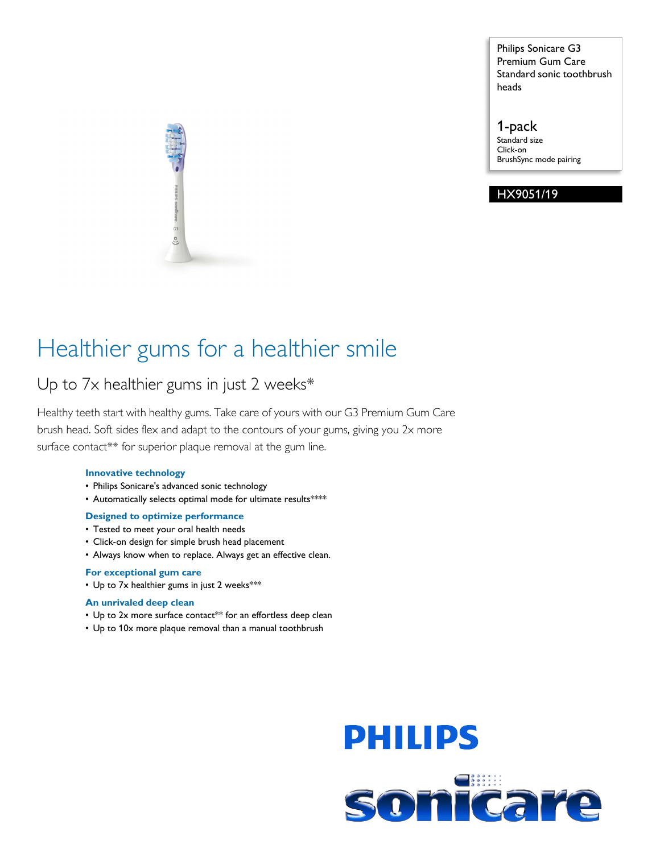Philips Sonicare G3 Premium Gum Care Standard sonic toothbrush heads

1-pack Standard size Click-on BrushSync mode pairing

# HX9051/19

# Healthier gums for a healthier smile

# Up to 7x healthier gums in just 2 weeks\*

Healthy teeth start with healthy gums. Take care of yours with our G3 Premium Gum Care brush head. Soft sides flex and adapt to the contours of your gums, giving you 2x more surface contact\*\* for superior plaque removal at the gum line.

# **Innovative technology**

- Philips Sonicare's advanced sonic technology
- Automatically selects optimal mode for ultimate results\*\*\*\*

# **Designed to optimize performance**

- Tested to meet your oral health needs
- Click-on design for simple brush head placement
- Always know when to replace. Always get an effective clean.

# **For exceptional gum care**

• Up to 7x healthier gums in just 2 weeks\*\*\*

# **An unrivaled deep clean**

- Up to 2x more surface contact\*\* for an effortless deep clean
- Up to 10x more plaque removal than a manual toothbrush

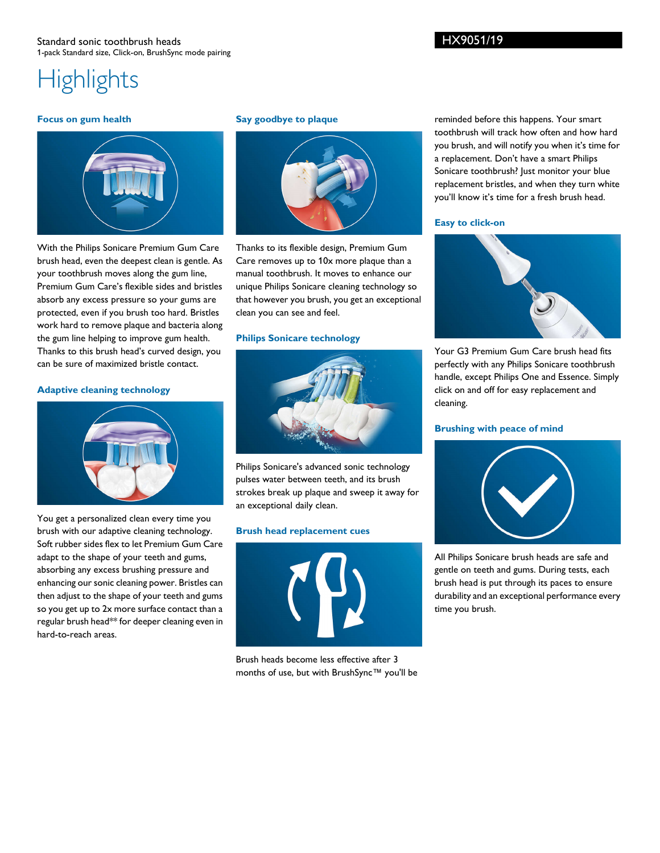# Standard sonic toothbrush heads 1-pack Standard size, Click-on, BrushSync mode pairing

# **Highlights**

#### **Focus on gum health**



With the Philips Sonicare Premium Gum Care brush head, even the deepest clean is gentle. As your toothbrush moves along the gum line, Premium Gum Care's flexible sides and bristles absorb any excess pressure so your gums are protected, even if you brush too hard. Bristles work hard to remove plaque and bacteria along the gum line helping to improve gum health. Thanks to this brush head's curved design, you can be sure of maximized bristle contact.

## **Adaptive cleaning technology**



You get a personalized clean every time you brush with our adaptive cleaning technology. Soft rubber sides flex to let Premium Gum Care adapt to the shape of your teeth and gums, absorbing any excess brushing pressure and enhancing our sonic cleaning power. Bristles can then adjust to the shape of your teeth and gums so you get up to 2x more surface contact than a regular brush head\*\* for deeper cleaning even in hard-to-reach areas.

#### **Say goodbye to plaque**



Thanks to its flexible design, Premium Gum Care removes up to 10x more plaque than a manual toothbrush. It moves to enhance our unique Philips Sonicare cleaning technology so that however you brush, you get an exceptional clean you can see and feel.

# **Philips Sonicare technology**



Philips Sonicare's advanced sonic technology pulses water between teeth, and its brush strokes break up plaque and sweep it away for an exceptional daily clean.

#### **Brush head replacement cues**



Brush heads become less effective after 3 months of use, but with BrushSync™ you'll be

reminded before this happens. Your smart toothbrush will track how often and how hard you brush, and will notify you when it's time for a replacement. Don't have a smart Philips Sonicare toothbrush? Just monitor your blue replacement bristles, and when they turn white you'll know it's time for a fresh brush head.

#### **Easy to click-on**



Your G3 Premium Gum Care brush head fits perfectly with any Philips Sonicare toothbrush handle, except Philips One and Essence. Simply click on and off for easy replacement and cleaning.

#### **Brushing with peace of mind**



All Philips Sonicare brush heads are safe and gentle on teeth and gums. During tests, each brush head is put through its paces to ensure durability and an exceptional performance every time you brush.